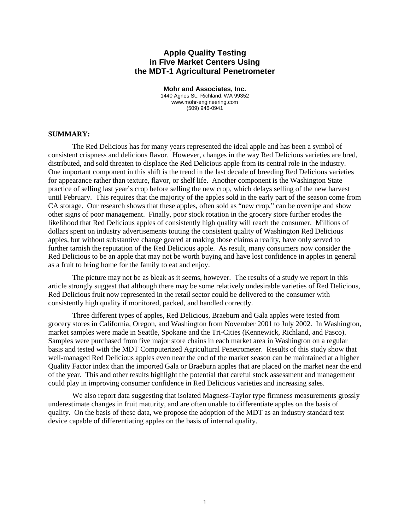# **Apple Quality Testing in Five Market Centers Using the MDT-1 Agricultural Penetrometer**

**Mohr and Associates, Inc.**  1440 Agnes St., Richland, WA 99352 www.mohr-engineering.com (509) 946-0941

#### **SUMMARY:**

The Red Delicious has for many years represented the ideal apple and has been a symbol of consistent crispness and delicious flavor. However, changes in the way Red Delicious varieties are bred, distributed, and sold threaten to displace the Red Delicious apple from its central role in the industry. One important component in this shift is the trend in the last decade of breeding Red Delicious varieties for appearance rather than texture, flavor, or shelf life. Another component is the Washington State practice of selling last year's crop before selling the new crop, which delays selling of the new harvest until February. This requires that the majority of the apples sold in the early part of the season come from CA storage. Our research shows that these apples, often sold as "new crop," can be overripe and show other signs of poor management. Finally, poor stock rotation in the grocery store further erodes the likelihood that Red Delicious apples of consistently high quality will reach the consumer. Millions of dollars spent on industry advertisements touting the consistent quality of Washington Red Delicious apples, but without substantive change geared at making those claims a reality, have only served to further tarnish the reputation of the Red Delicious apple. As result, many consumers now consider the Red Delicious to be an apple that may not be worth buying and have lost confidence in apples in general as a fruit to bring home for the family to eat and enjoy.

The picture may not be as bleak as it seems, however. The results of a study we report in this article strongly suggest that although there may be some relatively undesirable varieties of Red Delicious, Red Delicious fruit now represented in the retail sector could be delivered to the consumer with consistently high quality if monitored, packed, and handled correctly.

Three different types of apples, Red Delicious, Braeburn and Gala apples were tested from grocery stores in California, Oregon, and Washington from November 2001 to July 2002. In Washington, market samples were made in Seattle, Spokane and the Tri-Cities (Kennewick, Richland, and Pasco). Samples were purchased from five major store chains in each market area in Washington on a regular basis and tested with the MDT Computerized Agricultural Penetrometer. Results of this study show that well-managed Red Delicious apples even near the end of the market season can be maintained at a higher Quality Factor index than the imported Gala or Braeburn apples that are placed on the market near the end of the year. This and other results highlight the potential that careful stock assessment and management could play in improving consumer confidence in Red Delicious varieties and increasing sales.

We also report data suggesting that isolated Magness-Taylor type firmness measurements grossly underestimate changes in fruit maturity, and are often unable to differentiate apples on the basis of quality. On the basis of these data, we propose the adoption of the MDT as an industry standard test device capable of differentiating apples on the basis of internal quality.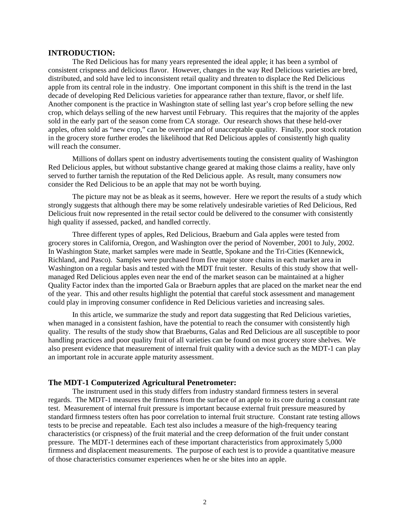## **INTRODUCTION:**

The Red Delicious has for many years represented the ideal apple; it has been a symbol of consistent crispness and delicious flavor. However, changes in the way Red Delicious varieties are bred, distributed, and sold have led to inconsistent retail quality and threaten to displace the Red Delicious apple from its central role in the industry. One important component in this shift is the trend in the last decade of developing Red Delicious varieties for appearance rather than texture, flavor, or shelf life. Another component is the practice in Washington state of selling last year's crop before selling the new crop, which delays selling of the new harvest until February. This requires that the majority of the apples sold in the early part of the season come from CA storage. Our research shows that these held-over apples, often sold as "new crop," can be overripe and of unacceptable quality. Finally, poor stock rotation in the grocery store further erodes the likelihood that Red Delicious apples of consistently high quality will reach the consumer.

Millions of dollars spent on industry advertisements touting the consistent quality of Washington Red Delicious apples, but without substantive change geared at making those claims a reality, have only served to further tarnish the reputation of the Red Delicious apple. As result, many consumers now consider the Red Delicious to be an apple that may not be worth buying.

The picture may not be as bleak as it seems, however. Here we report the results of a study which strongly suggests that although there may be some relatively undesirable varieties of Red Delicious, Red Delicious fruit now represented in the retail sector could be delivered to the consumer with consistently high quality if assessed, packed, and handled correctly.

Three different types of apples, Red Delicious, Braeburn and Gala apples were tested from grocery stores in California, Oregon, and Washington over the period of November, 2001 to July, 2002. In Washington State, market samples were made in Seattle, Spokane and the Tri-Cities (Kennewick, Richland, and Pasco). Samples were purchased from five major store chains in each market area in Washington on a regular basis and tested with the MDT fruit tester. Results of this study show that wellmanaged Red Delicious apples even near the end of the market season can be maintained at a higher Quality Factor index than the imported Gala or Braeburn apples that are placed on the market near the end of the year. This and other results highlight the potential that careful stock assessment and management could play in improving consumer confidence in Red Delicious varieties and increasing sales.

In this article, we summarize the study and report data suggesting that Red Delicious varieties, when managed in a consistent fashion, have the potential to reach the consumer with consistently high quality. The results of the study show that Braeburns, Galas and Red Delicious are all susceptible to poor handling practices and poor quality fruit of all varieties can be found on most grocery store shelves. We also present evidence that measurement of internal fruit quality with a device such as the MDT-1 can play an important role in accurate apple maturity assessment.

## **The MDT-1 Computerized Agricultural Penetrometer:**

The instrument used in this study differs from industry standard firmness testers in several regards. The MDT-1 measures the firmness from the surface of an apple to its core during a constant rate test. Measurement of internal fruit pressure is important because external fruit pressure measured by standard firmness testers often has poor correlation to internal fruit structure. Constant rate testing allows tests to be precise and repeatable. Each test also includes a measure of the high-frequency tearing characteristics (or crispness) of the fruit material and the creep deformation of the fruit under constant pressure. The MDT-1 determines each of these important characteristics from approximately 5,000 firmness and displacement measurements. The purpose of each test is to provide a quantitative measure of those characteristics consumer experiences when he or she bites into an apple.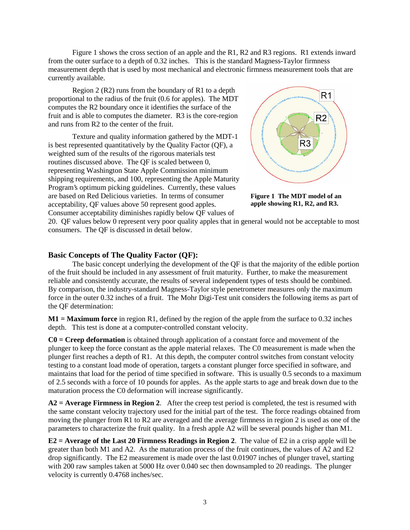Figure 1 shows the cross section of an apple and the R1, R2 and R3 regions. R1 extends inward from the outer surface to a depth of 0.32 inches. This is the standard Magness-Taylor firmness measurement depth that is used by most mechanical and electronic firmness measurement tools that are currently available.

Region 2 (R2) runs from the boundary of R1 to a depth proportional to the radius of the fruit (0.6 for apples). The MDT computes the R2 boundary once it identifies the surface of the fruit and is able to computes the diameter. R3 is the core-region and runs from R2 to the center of the fruit.

Texture and quality information gathered by the MDT-1 is best represented quantitatively by the Quality Factor (QF), a weighted sum of the results of the rigorous materials test routines discussed above. The QF is scaled between 0, representing Washington State Apple Commission minimum shipping requirements, and 100, representing the Apple Maturity Program's optimum picking guidelines. Currently, these values are based on Red Delicious varieties. In terms of consumer acceptability, QF values above 50 represent good apples. Consumer acceptability diminishes rapidly below QF values of



**Figure 1 The MDT model of an apple showing R1, R2, and R3.** 

20. QF values below 0 represent very poor quality apples that in general would not be acceptable to most consumers. The QF is discussed in detail below.

# **Basic Concepts of The Quality Factor (QF):**

The basic concept underlying the development of the QF is that the majority of the edible portion of the fruit should be included in any assessment of fruit maturity. Further, to make the measurement reliable and consistently accurate, the results of several independent types of tests should be combined. By comparison, the industry-standard Magness-Taylor style penetrometer measures only the maximum force in the outer 0.32 inches of a fruit. The Mohr Digi-Test unit considers the following items as part of the QF determination:

**M1 = Maximum force** in region R1, defined by the region of the apple from the surface to 0.32 inches depth. This test is done at a computer-controlled constant velocity.

**C0 = Creep deformation** is obtained through application of a constant force and movement of the plunger to keep the force constant as the apple material relaxes. The C0 measurement is made when the plunger first reaches a depth of R1. At this depth, the computer control switches from constant velocity testing to a constant load mode of operation, targets a constant plunger force specified in software, and maintains that load for the period of time specified in software. This is usually 0.5 seconds to a maximum of 2.5 seconds with a force of 10 pounds for apples. As the apple starts to age and break down due to the maturation process the C0 deformation will increase significantly.

**A2 = Average Firmness in Region 2**. After the creep test period is completed, the test is resumed with the same constant velocity trajectory used for the initial part of the test. The force readings obtained from moving the plunger from R1 to R2 are averaged and the average firmness in region 2 is used as one of the parameters to characterize the fruit quality. In a fresh apple A2 will be several pounds higher than M1.

**E2 = Average of the Last 20 Firmness Readings in Region 2**. The value of E2 in a crisp apple will be greater than both M1 and A2. As the maturation process of the fruit continues, the values of A2 and E2 drop significantly. The E2 measurement is made over the last 0.01907 inches of plunger travel, starting with 200 raw samples taken at 5000 Hz over 0.040 sec then downsampled to 20 readings. The plunger velocity is currently 0.4768 inches/sec.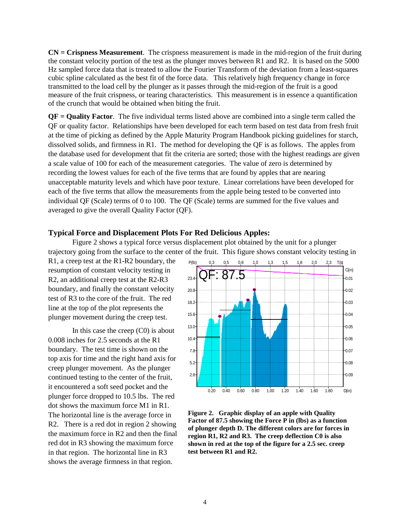**CN = Crispness Measurement**. The crispness measurement is made in the mid-region of the fruit during the constant velocity portion of the test as the plunger moves between R1 and R2. It is based on the 5000 Hz sampled force data that is treated to allow the Fourier Transform of the deviation from a least-squares cubic spline calculated as the best fit of the force data. This relatively high frequency change in force transmitted to the load cell by the plunger as it passes through the mid-region of the fruit is a good measure of the fruit crispness, or tearing characteristics. This measurement is in essence a quantification of the crunch that would be obtained when biting the fruit.

**QF = Quality Factor**. The five individual terms listed above are combined into a single term called the QF or quality factor. Relationships have been developed for each term based on test data from fresh fruit at the time of picking as defined by the Apple Maturity Program Handbook picking guidelines for starch, dissolved solids, and firmness in R1. The method for developing the QF is as follows. The apples from the database used for development that fit the criteria are sorted; those with the highest readings are given a scale value of 100 for each of the measurement categories. The value of zero is determined by recording the lowest values for each of the five terms that are found by apples that are nearing unacceptable maturity levels and which have poor texture. Linear correlations have been developed for each of the five terms that allow the measurements from the apple being tested to be converted into individual QF (Scale) terms of 0 to 100. The QF (Scale) terms are summed for the five values and averaged to give the overall Quality Factor (QF).

## **Typical Force and Displacement Plots For Red Delicious Apples:**

Figure 2 shows a typical force versus displacement plot obtained by the unit for a plunger trajectory going from the surface to the center of the fruit. This figure shows constant velocity testing in

R1, a creep test at the R1-R2 boundary, the resumption of constant velocity testing in R2, an additional creep test at the R2-R3 boundary, and finally the constant velocity test of R3 to the core of the fruit. The red line at the top of the plot represents the plunger movement during the creep test.

In this case the creep (C0) is about 0.008 inches for 2.5 seconds at the R1 boundary. The test time is shown on the top axis for time and the right hand axis for creep plunger movement. As the plunger continued testing to the center of the fruit, it encountered a soft seed pocket and the plunger force dropped to 10.5 lbs. The red dot shows the maximum force M1 in R1. The horizontal line is the average force in R2. There is a red dot in region 2 showing the maximum force in R2 and then the final red dot in R3 showing the maximum force in that region. The horizontal line in R3 shows the average firmness in that region.



**Figure 2. Graphic display of an apple with Quality Factor of 87.5 showing the Force P in (lbs) as a function of plunger depth D. The different colors are for forces in region R1, R2 and R3. The creep deflection C0 is also shown in red at the top of the figure for a 2.5 sec. creep test between R1 and R2.**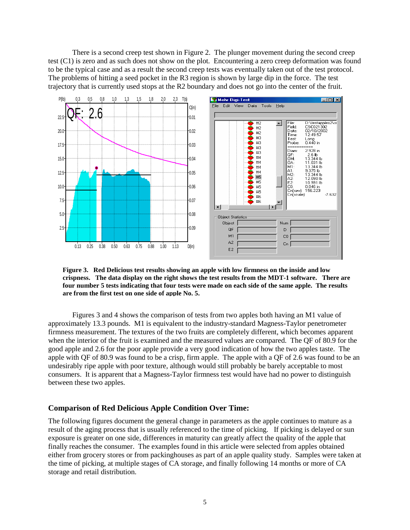There is a second creep test shown in Figure 2. The plunger movement during the second creep test (C1) is zero and as such does not show on the plot. Encountering a zero creep deformation was found to be the typical case and as a result the second creep tests was eventually taken out of the test protocol. The problems of hitting a seed pocket in the R3 region is shown by large dip in the force. The test trajectory that is currently used stops at the R2 boundary and does not go into the center of the fruit.



**Figure 3. Red Delicious test results showing an apple with low firmness on the inside and low crispness. The data display on the right shows the test results from the MDT-1 software. There are four number 5 tests indicating that four tests were made on each side of the same apple. The results are from the first test on one side of apple No. 5.**

 Figures 3 and 4 shows the comparison of tests from two apples both having an M1 value of approximately 13.3 pounds. M1 is equivalent to the industry-standard Magness-Taylor penetrometer firmness measurement. The textures of the two fruits are completely different, which becomes apparent when the interior of the fruit is examined and the measured values are compared. The QF of 80.9 for the good apple and 2.6 for the poor apple provide a very good indication of how the two apples taste. The apple with QF of 80.9 was found to be a crisp, firm apple. The apple with a QF of 2.6 was found to be an undesirably ripe apple with poor texture, although would still probably be barely acceptable to most consumers. It is apparent that a Magness-Taylor firmness test would have had no power to distinguish between these two apples.

# **Comparison of Red Delicious Apple Condition Over Time:**

The following figures document the general change in parameters as the apple continues to mature as a result of the aging process that is usually referenced to the time of picking. If picking is delayed or sun exposure is greater on one side, differences in maturity can greatly affect the quality of the apple that finally reaches the consumer. The examples found in this article were selected from apples obtained either from grocery stores or from packinghouses as part of an apple quality study. Samples were taken at the time of picking, at multiple stages of CA storage, and finally following 14 months or more of CA storage and retail distribution.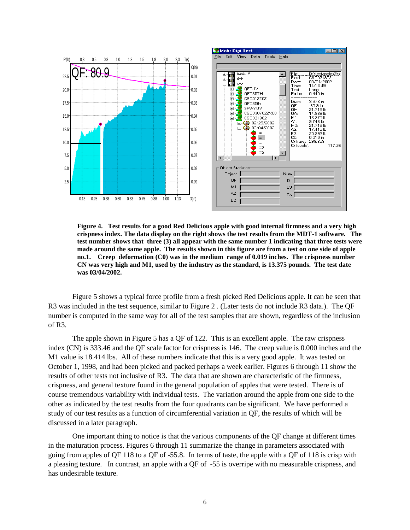

**Figure 4. Test results for a good Red Delicious apple with good internal firmness and a very high crispness index. The data display on the right shows the test results from the MDT-1 software. The test number shows that three (3) all appear with the same number 1 indicating that three tests were made around the same apple. The results shown in this figure are from a test on one side of apple no.1. Creep deformation (C0) was in the medium range of 0.019 inches. The crispness number CN was very high and M1, used by the industry as the standard, is 13.375 pounds. The test date was 03/04/2002.**

Figure 5 shows a typical force profile from a fresh picked Red Delicious apple. It can be seen that R3 was included in the test sequence, similar to Figure 2 . (Later tests do not include R3 data.). The QF number is computed in the same way for all of the test samples that are shown, regardless of the inclusion of R3.

The apple shown in Figure 5 has a QF of 122. This is an excellent apple. The raw crispness index (CN) is 333.46 and the QF scale factor for crispness is 146. The creep value is 0.000 inches and the M1 value is 18.414 lbs. All of these numbers indicate that this is a very good apple. It was tested on October 1, 1998, and had been picked and packed perhaps a week earlier. Figures 6 through 11 show the results of other tests not inclusive of R3. The data that are shown are characteristic of the firmness, crispness, and general texture found in the general population of apples that were tested. There is of course tremendous variability with individual tests. The variation around the apple from one side to the other as indicated by the test results from the four quadrants can be significant. We have performed a study of our test results as a function of circumferential variation in QF, the results of which will be discussed in a later paragraph.

 One important thing to notice is that the various components of the QF change at different times in the maturation process. Figures 6 through 11 summarize the change in parameters associated with going from apples of QF 118 to a QF of -55.8. In terms of taste, the apple with a QF of 118 is crisp with a pleasing texture. In contrast, an apple with a QF of -55 is overripe with no measurable crispness, and has undesirable texture.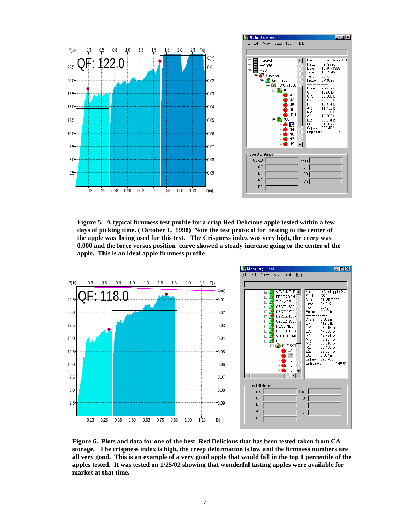

**Figure 5. A typical firmness test profile for a crisp Red Delicious apple tested within a few days of picking time. ( October 1, 1998) Note the test protocol for testing to the center of the apple was being used for this test. The Crispness index was very high, the creep was 0.000 and the force versus position curve showed a steady increase going to the center of the apple. This is an ideal apple firmness profile** 



**Figure 6. Plots and data for one of the best Red Delicious that has been tested taken from CA storage. The crispness index is high, the creep deformation is low and the firmness numbers are all very good. This is an example of a very good apple that would fall in the top 1 percentile of the apples tested. It was tested on 1/25/02 showing that wonderful tasting apples were available for market at that time.**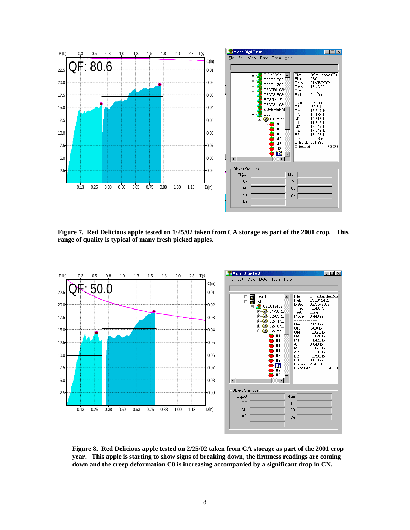

**Figure 7. Red Delicious apple tested on 1/25/02 taken from CA storage as part of the 2001 crop. This range of quality is typical of many fresh picked apples.** 



**Figure 8. Red Delicious apple tested on 2/25/02 taken from CA storage as part of the 2001 crop year. This apple is starting to show signs of breaking down, the firmness readings are coming down and the creep deformation C0 is increasing accompanied by a significant drop in CN.**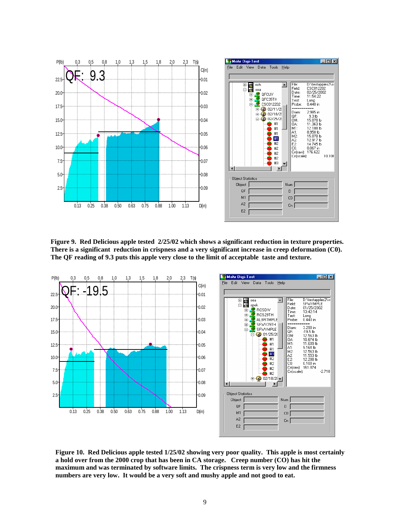

**Figure 9. Red Delicious apple tested 2/25/02 which shows a significant reduction in texture properties. There is a significant reduction in crispness and a very significant increase in creep deformation (C0). The QF reading of 9.3 puts this apple very close to the limit of acceptable taste and texture.**



**Figure 10. Red Delicious apple tested 1/25/02 showing very poor quality. This apple is most certainly a hold over from the 2000 crop that has been in CA storage. Creep number (CO) has hit the maximum and was terminated by software limits. The crispness term is very low and the firmness numbers are very low. It would be a very soft and mushy apple and not good to eat.**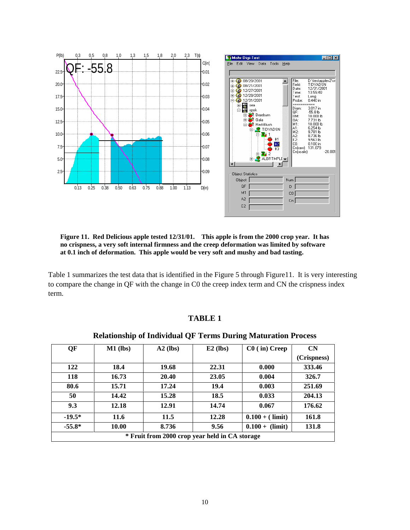

**Figure 11. Red Delicious apple tested 12/31/01. This apple is from the 2000 crop year. It has no crispness, a very soft internal firmness and the creep deformation was limited by software at 0.1 inch of deformation. This apple would be very soft and mushy and bad tasting.** 

Table 1 summarizes the test data that is identified in the Figure 5 through Figure11. It is very interesting to compare the change in QF with the change in C0 the creep index term and CN the crispness index term.

### **TABLE 1**

| QF                                             | $M1$ (lbs) | $A2$ (lbs) | $E2$ (lbs) | $C0$ (in) Creep   | CN          |
|------------------------------------------------|------------|------------|------------|-------------------|-------------|
|                                                |            |            |            |                   | (Crispness) |
| 122                                            | 18.4       | 19.68      | 22.31      | 0.000             | 333.46      |
| 118                                            | 16.73      | 20.40      | 23.05      | 0.004             | 326.7       |
| 80.6                                           | 15.71      | 17.24      | 19.4       | 0.003             | 251.69      |
| 50                                             | 14.42      | 15.28      | 18.5       | 0.033             | 204.13      |
| 9.3                                            | 12.18      | 12.91      | 14.74      | 0.067             | 176.62      |
| $-19.5*$                                       | 11.6       | 11.5       | 12.28      | $0.100 + (limit)$ | 161.8       |
| $-55.8*$                                       | 10.00      | 8.736      | 9.56       | $0.100 + (limit)$ | 131.8       |
| * Fruit from 2000 crop year held in CA storage |            |            |            |                   |             |

## **Relationship of Individual QF Terms During Maturation Process**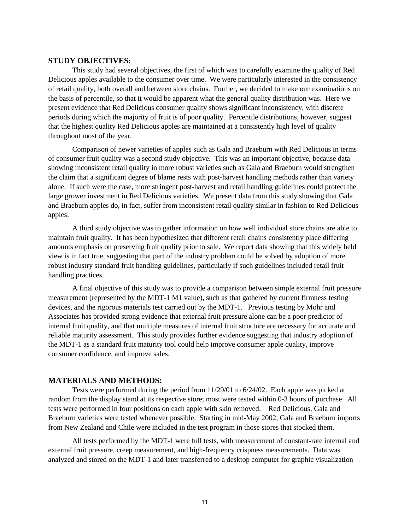# **STUDY OBJECTIVES:**

This study had several objectives, the first of which was to carefully examine the quality of Red Delicious apples available to the consumer over time. We were particularly interested in the consistency of retail quality, both overall and between store chains. Further, we decided to make our examinations on the basis of percentile, so that it would be apparent what the general quality distribution was. Here we present evidence that Red Delicious consumer quality shows significant inconsistency, with discrete periods during which the majority of fruit is of poor quality. Percentile distributions, however, suggest that the highest quality Red Delicious apples are maintained at a consistently high level of quality throughout most of the year.

Comparison of newer varieties of apples such as Gala and Braeburn with Red Delicious in terms of consumer fruit quality was a second study objective. This was an important objective, because data showing inconsistent retail quality in more robust varieties such as Gala and Braeburn would strengthen the claim that a significant degree of blame rests with post-harvest handling methods rather than variety alone. If such were the case, more stringent post-harvest and retail handling guidelines could protect the large grower investment in Red Delicious varieties. We present data from this study showing that Gala and Braeburn apples do, in fact, suffer from inconsistent retail quality similar in fashion to Red Delicious apples.

A third study objective was to gather information on how well individual store chains are able to maintain fruit quality. It has been hypothesized that different retail chains consistently place differing amounts emphasis on preserving fruit quality prior to sale. We report data showing that this widely held view is in fact true, suggesting that part of the industry problem could be solved by adoption of more robust industry standard fruit handling guidelines, particularly if such guidelines included retail fruit handling practices.

A final objective of this study was to provide a comparison between simple external fruit pressure measurement (represented by the MDT-1 M1 value), such as that gathered by current firmness testing devices, and the rigorous materials test carried out by the MDT-1. Previous testing by Mohr and Associates has provided strong evidence that external fruit pressure alone can be a poor predictor of internal fruit quality, and that multiple measures of internal fruit structure are necessary for accurate and reliable maturity assessment. This study provides further evidence suggesting that industry adoption of the MDT-1 as a standard fruit maturity tool could help improve consumer apple quality, improve consumer confidence, and improve sales.

#### **MATERIALS AND METHODS:**

Tests were performed during the period from 11/29/01 to 6/24/02. Each apple was picked at random from the display stand at its respective store; most were tested within 0-3 hours of purchase. All tests were performed in four positions on each apple with skin removed. Red Delicious, Gala and Braeburn varieties were tested whenever possible. Starting in mid-May 2002, Gala and Braeburn imports from New Zealand and Chile were included in the test program in those stores that stocked them.

All tests performed by the MDT-1 were full tests, with measurement of constant-rate internal and external fruit pressure, creep measurement, and high-frequency crispness measurements. Data was analyzed and stored on the MDT-1 and later transferred to a desktop computer for graphic visualization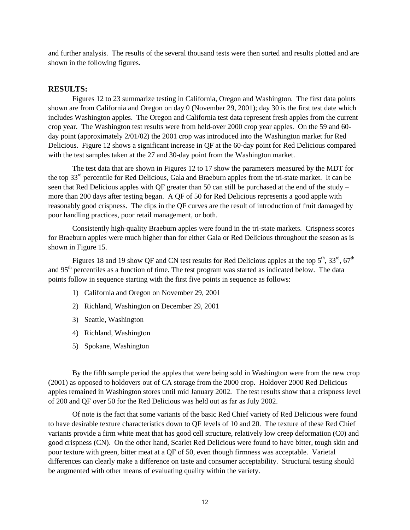and further analysis. The results of the several thousand tests were then sorted and results plotted and are shown in the following figures.

## **RESULTS:**

Figures 12 to 23 summarize testing in California, Oregon and Washington. The first data points shown are from California and Oregon on day 0 (November 29, 2001); day 30 is the first test date which includes Washington apples. The Oregon and California test data represent fresh apples from the current crop year. The Washington test results were from held-over 2000 crop year apples. On the 59 and 60 day point (approximately 2/01/02) the 2001 crop was introduced into the Washington market for Red Delicious. Figure 12 shows a significant increase in QF at the 60-day point for Red Delicious compared with the test samples taken at the 27 and 30-day point from the Washington market.

The test data that are shown in Figures 12 to 17 show the parameters measured by the MDT for the top 33rd percentile for Red Delicious, Gala and Braeburn apples from the tri-state market. It can be seen that Red Delicious apples with QF greater than 50 can still be purchased at the end of the study – more than 200 days after testing began. A QF of 50 for Red Delicious represents a good apple with reasonably good crispness. The dips in the QF curves are the result of introduction of fruit damaged by poor handling practices, poor retail management, or both.

Consistently high-quality Braeburn apples were found in the tri-state markets. Crispness scores for Braeburn apples were much higher than for either Gala or Red Delicious throughout the season as is shown in Figure 15.

Figures 18 and 19 show QF and CN test results for Red Delicious apples at the top  $5<sup>th</sup>$ ,  $33<sup>rd</sup>$ ,  $67<sup>th</sup>$ and 95<sup>th</sup> percentiles as a function of time. The test program was started as indicated below. The data points follow in sequence starting with the first five points in sequence as follows:

- 1) California and Oregon on November 29, 2001
- 2) Richland, Washington on December 29, 2001
- 3) Seattle, Washington
- 4) Richland, Washington
- 5) Spokane, Washington

By the fifth sample period the apples that were being sold in Washington were from the new crop (2001) as opposed to holdovers out of CA storage from the 2000 crop. Holdover 2000 Red Delicious apples remained in Washington stores until mid January 2002. The test results show that a crispness level of 200 and QF over 50 for the Red Delicious was held out as far as July 2002.

Of note is the fact that some variants of the basic Red Chief variety of Red Delicious were found to have desirable texture characteristics down to QF levels of 10 and 20. The texture of these Red Chief variants provide a firm white meat that has good cell structure, relatively low creep deformation (C0) and good crispness (CN). On the other hand, Scarlet Red Delicious were found to have bitter, tough skin and poor texture with green, bitter meat at a QF of 50, even though firmness was acceptable. Varietal differences can clearly make a difference on taste and consumer acceptability. Structural testing should be augmented with other means of evaluating quality within the variety.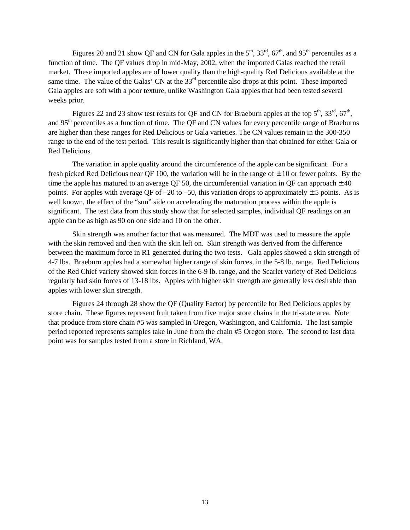Figures 20 and 21 show QF and CN for Gala apples in the  $5<sup>th</sup>$ ,  $33<sup>rd</sup>$ ,  $67<sup>th</sup>$ , and  $95<sup>th</sup>$  percentiles as a function of time. The QF values drop in mid-May, 2002, when the imported Galas reached the retail market. These imported apples are of lower quality than the high-quality Red Delicious available at the same time. The value of the Galas' CN at the 33<sup>rd</sup> percentile also drops at this point. These imported Gala apples are soft with a poor texture, unlike Washington Gala apples that had been tested several weeks prior.

Figures 22 and 23 show test results for QF and CN for Braeburn apples at the top  $5^{th}$ ,  $33^{rd}$ ,  $67^{th}$ , and 95th percentiles as a function of time. The QF and CN values for every percentile range of Braeburns are higher than these ranges for Red Delicious or Gala varieties. The CN values remain in the 300-350 range to the end of the test period. This result is significantly higher than that obtained for either Gala or Red Delicious.

The variation in apple quality around the circumference of the apple can be significant. For a fresh picked Red Delicious near QF 100, the variation will be in the range of  $\pm$  10 or fewer points. By the time the apple has matured to an average QF 50, the circumferential variation in QF can approach  $\pm$  40 points. For apples with average OF of –20 to –50, this variation drops to approximately  $\pm$  5 points. As is well known, the effect of the "sun" side on accelerating the maturation process within the apple is significant. The test data from this study show that for selected samples, individual QF readings on an apple can be as high as 90 on one side and 10 on the other.

Skin strength was another factor that was measured. The MDT was used to measure the apple with the skin removed and then with the skin left on. Skin strength was derived from the difference between the maximum force in R1 generated during the two tests. Gala apples showed a skin strength of 4-7 lbs. Braeburn apples had a somewhat higher range of skin forces, in the 5-8 lb. range. Red Delicious of the Red Chief variety showed skin forces in the 6-9 lb. range, and the Scarlet variety of Red Delicious regularly had skin forces of 13-18 lbs. Apples with higher skin strength are generally less desirable than apples with lower skin strength.

Figures 24 through 28 show the QF (Quality Factor) by percentile for Red Delicious apples by store chain. These figures represent fruit taken from five major store chains in the tri-state area. Note that produce from store chain #5 was sampled in Oregon, Washington, and California. The last sample period reported represents samples take in June from the chain #5 Oregon store. The second to last data point was for samples tested from a store in Richland, WA.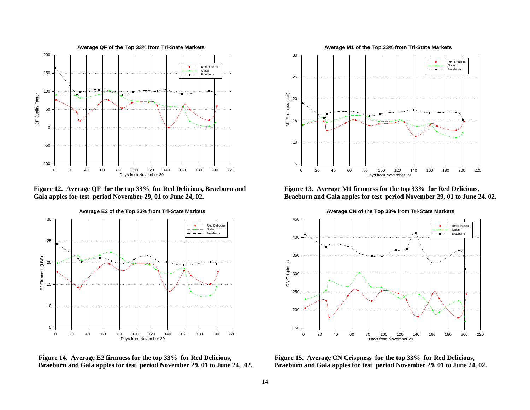**Average QF of the Top 33% from Tri-State Markets**



**Figure 12. Average QF for the top 33% for Red Delicious, Braeburn and Gala apples for test period November 29, 01 to June 24, 02.**



**Figure 14. Average E2 firmness for the top 33% for Red Delicious, Braeburn and Gala apples for test period November 29, 01 to June 24, 02.**

**Average M1 of the Top 33% from Tri-State Markets**



**Figure 13. Average M1 firmness for the top 33% for Red Delicious, Braeburn and Gala apples for test period November 29, 01 to June 24, 02.**



**Average CN of the Top 33% from Tri-State Markets**

**Figure 15. Average CN Crispness for the top 33% for Red Delicious, Braeburn and Gala apples for test period November 29, 01 to June 24, 02.**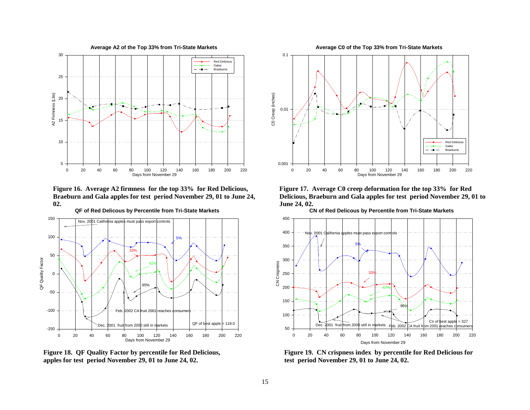

**Figure 16. Average A2 firmness for the top 33% for Red Delicious, Braeburn and Gala apples for test period November 29, 01 to June 24, 02.** 



**Figure 18. QF Quality Factor by percentile for Red Delicious, apples for test period November 29, 01 to June 24, 02.**



**Figure 17. Average C0 creep deformation for the top 33% for Red Delicious, Braeburn and Gala apples for test period November 29, 01 to June 24, 02.** 



**Figure 19. CN crispness index by percentile for Red Delicious for test period November 29, 01 to June 24, 02.**

**QF of Red Delicous by Percentile from Tri-State Markets**

**Average C0 of the Top 33% from Tri-State Markets**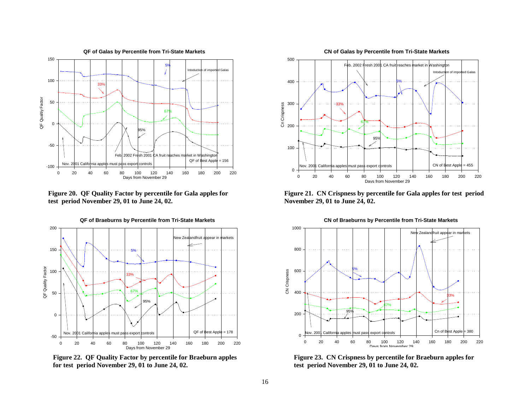

**Figure 20. QF Quality Factor by percentile for Gala apples for test period November 29, 01 to June 24, 02.**



**Figure 22. QF Quality Factor by percentile for Braeburn apples for test period November 29, 01 to June 24, 02.**

#### **CN of Galas by Percentile from Tri-State Markets**



**Figure 21. CN Crispness by percentile for Gala apples for test period November 29, 01 to June 24, 02.**



**Figure 23. CN Crispness by percentile for Braeburn apples for test period November 29, 01 to June 24, 02.**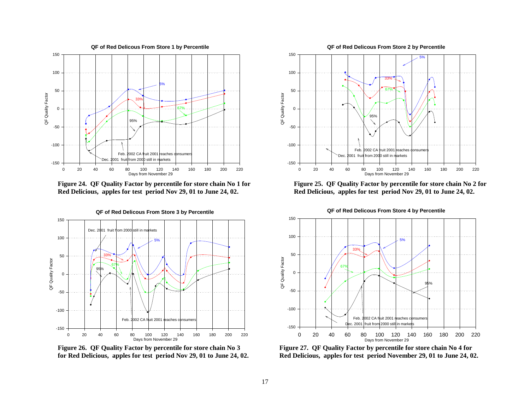**QF of Red Delicous From Store 1 by Percentile**1501005%50QF Quality Factor Quality Factor 33%067%95%ă -50-100Feb. 2002 CA fruit 2001 reaches donsume Dec. 2001 fruit from 2000 still in markets -1500 20 40 60 80 100 120 140 160 180 200 220<br>Days from November 29

**Figure 24. QF Quality Factor by percentile for store chain No 1 for Red Delicious, apples for test period Nov 29, 01 to June 24, 02.**



**Figure 26. QF Quality Factor by percentile for store chain No 3 for Red Delicious, apples for test period Nov 29, 01 to June 24, 02.**

1505%10033%5067%QF Quality Factor QF Quality Factor 095%-50-100Feb. 2002 CA fruit 2001 reaches consumer 2001 fruit from 2000 still in markets -1500 20 40 60 80 100 120 140 160 180 200 220Days from November 29

**Figure 25. QF Quality Factor by percentile for store chain No 2 for Red Delicious, apples for test period Nov 29, 01 to June 24, 02.**



**QF of Red Delicous From Store 4 by Percentile**

**Figure 27. QF Quality Factor by percentile for store chain No 4 for Red Delicious, apples for test period November 29, 01 to June 24, 02.**

17

**QF of Red Delicous From Store 2 by Percentile**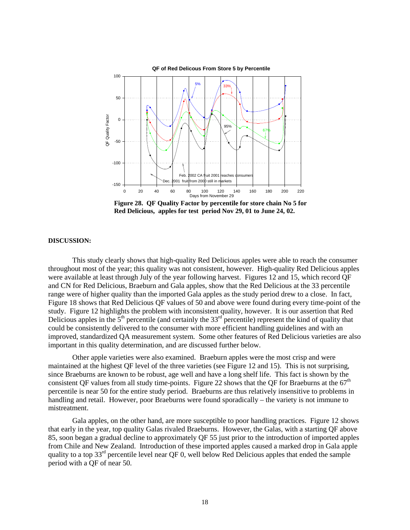

**Figure 28. QF Quality Factor by percentile for store chain No 5 for Red Delicious, apples for test period Nov 29, 01 to June 24, 02.**

#### **DISCUSSION:**

This study clearly shows that high-quality Red Delicious apples were able to reach the consumer throughout most of the year; this quality was not consistent, however. High-quality Red Delicious apples were available at least through July of the year following harvest. Figures 12 and 15, which record QF and CN for Red Delicious, Braeburn and Gala apples, show that the Red Delicious at the 33 percentile range were of higher quality than the imported Gala apples as the study period drew to a close. In fact, Figure 18 shows that Red Delicious QF values of 50 and above were found during every time-point of the study. Figure 12 highlights the problem with inconsistent quality, however. It is our assertion that Red Delicious apples in the  $5<sup>th</sup>$  percentile (and certainly the 33<sup>rd</sup> percentile) represent the kind of quality that could be consistently delivered to the consumer with more efficient handling guidelines and with an improved, standardized QA measurement system. Some other features of Red Delicious varieties are also important in this quality determination, and are discussed further below.

Other apple varieties were also examined. Braeburn apples were the most crisp and were maintained at the highest QF level of the three varieties (see Figure 12 and 15). This is not surprising, since Braeburns are known to be robust, age well and have a long shelf life. This fact is shown by the consistent QF values from all study time-points. Figure 22 shows that the QF for Braeburns at the  $67<sup>th</sup>$ percentile is near 50 for the entire study period. Braeburns are thus relatively insensitive to problems in handling and retail. However, poor Braeburns were found sporadically – the variety is not immune to mistreatment.

Gala apples, on the other hand, are more susceptible to poor handling practices. Figure 12 shows that early in the year, top quality Galas rivaled Braeburns. However, the Galas, with a starting QF above 85, soon began a gradual decline to approximately QF 55 just prior to the introduction of imported apples from Chile and New Zealand. Introduction of these imported apples caused a marked drop in Gala apple quality to a top  $33<sup>rd</sup>$  percentile level near OF 0, well below Red Delicious apples that ended the sample period with a QF of near 50.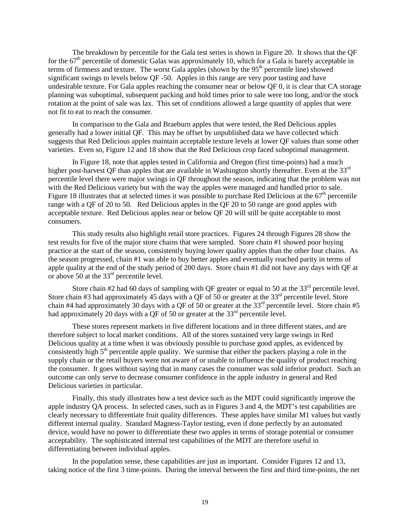The breakdown by percentile for the Gala test series is shown in Figure 20. It shows that the QF for the  $67<sup>th</sup>$  percentile of domestic Galas was approximately 10, which for a Gala is barely acceptable in terms of firmness and texture. The worst Gala apples (shown by the  $95<sup>th</sup>$  percentile line) showed significant swings to levels below QF -50. Apples in this range are very poor tasting and have undesirable texture. For Gala apples reaching the consumer near or below QF 0, it is clear that CA storage planning was suboptimal, subsequent packing and hold times prior to sale were too long, and/or the stock rotation at the point of sale was lax. This set of conditions allowed a large quantity of apples that were not fit to eat to reach the consumer.

In comparison to the Gala and Braeburn apples that were tested, the Red Delicious apples generally had a lower initial QF. This may be offset by unpublished data we have collected which suggests that Red Delicious apples maintain acceptable texture levels at lower QF values than some other varieties. Even so, Figure 12 and 18 show that the Red Delicious crop faced suboptimal management.

In Figure 18, note that apples tested in California and Oregon (first time-points) had a much higher post-harvest QF than apples that are available in Washington shortly thereafter. Even at the 33<sup>rd</sup> percentile level there were major swings in QF throughout the season, indicating that the problem was not with the Red Delicious variety but with the way the apples were managed and handled prior to sale. Figure 18 illustrates that at selected times it was possible to purchase Red Delicious at the  $67<sup>th</sup>$  percentile range with a QF of 20 to 50. Red Delicious apples in the QF 20 to 50 range are good apples with acceptable texture. Red Delicious apples near or below QF 20 will still be quite acceptable to most consumers.

This study results also highlight retail store practices. Figures 24 through Figures 28 show the test results for five of the major store chains that were sampled. Store chain #1 showed poor buying practice at the start of the season, consistently buying lower quality apples than the other four chains. As the season progressed, chain #1 was able to buy better apples and eventually reached parity in terms of apple quality at the end of the study period of 200 days. Store chain #1 did not have any days with QF at or above 50 at the  $33<sup>rd</sup>$  percentile level.

Store chain  $#2$  had 60 days of sampling with QF greater or equal to 50 at the 33<sup>rd</sup> percentile level. Store chain #3 had approximately 45 days with a QF of 50 or greater at the  $33<sup>rd</sup>$  percentile level. Store chain #4 had approximately 30 days with a QF of 50 or greater at the  $33<sup>rd</sup>$  percentile level. Store chain #5 had approximately 20 days with a QF of 50 or greater at the 33<sup>rd</sup> percentile level.

These stores represent markets in five different locations and in three different states, and are therefore subject to local market conditions. All of the stores sustained very large swings in Red Delicious quality at a time when it was obviously possible to purchase good apples, as evidenced by consistently high  $5<sup>th</sup>$  percentile apple quality. We surmise that either the packers playing a role in the supply chain or the retail buyers were not aware of or unable to influence the quality of product reaching the consumer. It goes without saying that in many cases the consumer was sold inferior product. Such an outcome can only serve to decrease consumer confidence in the apple industry in general and Red Delicious varieties in particular.

Finally, this study illustrates how a test device such as the MDT could significantly improve the apple industry QA process. In selected cases, such as in Figures 3 and 4, the MDT's test capabilities are clearly necessary to differentiate fruit quality differences. These apples have similar M1 values but vastly different internal quality. Standard Magness-Taylor testing, even if done perfectly by an automated device, would have no power to differentiate these two apples in terms of storage potential or consumer acceptability. The sophisticated internal test capabilities of the MDT are therefore useful in differentiating between individual apples.

In the population sense, these capabilities are just as important. Consider Figures 12 and 13, taking notice of the first 3 time-points. During the interval between the first and third time-points, the net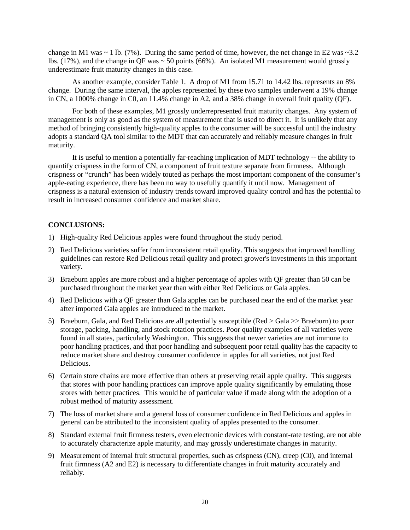change in M1 was  $\sim$  1 lb. (7%). During the same period of time, however, the net change in E2 was  $\sim$ 3.2 lbs.  $(17%)$ , and the change in QF was  $\sim$  50 points (66%). An isolated M1 measurement would grossly underestimate fruit maturity changes in this case.

As another example, consider Table 1. A drop of M1 from 15.71 to 14.42 lbs. represents an 8% change. During the same interval, the apples represented by these two samples underwent a 19% change in CN, a 1000% change in C0, an 11.4% change in A2, and a 38% change in overall fruit quality (QF).

For both of these examples, M1 grossly underrepresented fruit maturity changes. Any system of management is only as good as the system of measurement that is used to direct it. It is unlikely that any method of bringing consistently high-quality apples to the consumer will be successful until the industry adopts a standard QA tool similar to the MDT that can accurately and reliably measure changes in fruit maturity.

It is useful to mention a potentially far-reaching implication of MDT technology -- the ability to quantify crispness in the form of CN, a component of fruit texture separate from firmness. Although crispness or "crunch" has been widely touted as perhaps the most important component of the consumer's apple-eating experience, there has been no way to usefully quantify it until now. Management of crispness is a natural extension of industry trends toward improved quality control and has the potential to result in increased consumer confidence and market share.

# **CONCLUSIONS:**

- 1) High-quality Red Delicious apples were found throughout the study period.
- 2) Red Delicious varieties suffer from inconsistent retail quality. This suggests that improved handling guidelines can restore Red Delicious retail quality and protect grower's investments in this important variety.
- 3) Braeburn apples are more robust and a higher percentage of apples with QF greater than 50 can be purchased throughout the market year than with either Red Delicious or Gala apples.
- 4) Red Delicious with a QF greater than Gala apples can be purchased near the end of the market year after imported Gala apples are introduced to the market.
- 5) Braeburn, Gala, and Red Delicious are all potentially susceptible (Red > Gala >> Braeburn) to poor storage, packing, handling, and stock rotation practices. Poor quality examples of all varieties were found in all states, particularly Washington. This suggests that newer varieties are not immune to poor handling practices, and that poor handling and subsequent poor retail quality has the capacity to reduce market share and destroy consumer confidence in apples for all varieties, not just Red Delicious.
- 6) Certain store chains are more effective than others at preserving retail apple quality. This suggests that stores with poor handling practices can improve apple quality significantly by emulating those stores with better practices. This would be of particular value if made along with the adoption of a robust method of maturity assessment.
- 7) The loss of market share and a general loss of consumer confidence in Red Delicious and apples in general can be attributed to the inconsistent quality of apples presented to the consumer.
- 8) Standard external fruit firmness testers, even electronic devices with constant-rate testing, are not able to accurately characterize apple maturity, and may grossly underestimate changes in maturity.
- 9) Measurement of internal fruit structural properties, such as crispness (CN), creep (C0), and internal fruit firmness (A2 and E2) is necessary to differentiate changes in fruit maturity accurately and reliably.